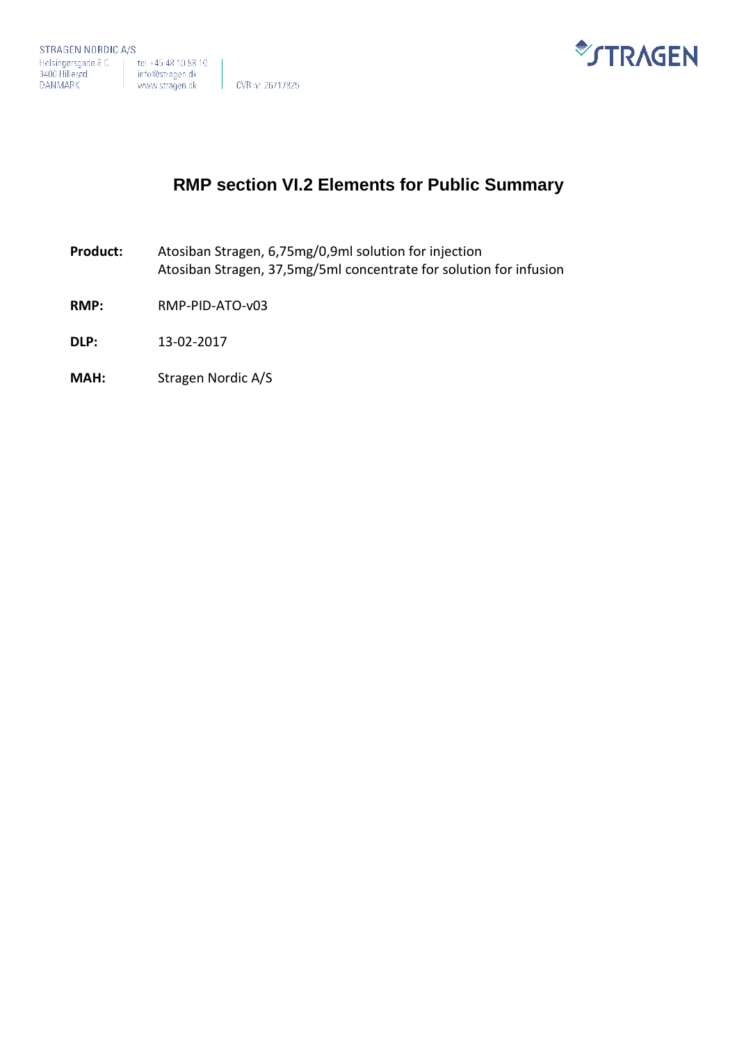



# **RMP section VI.2 Elements for Public Summary**

- **Product:** Atosiban Stragen, 6,75mg/0,9ml solution for injection Atosiban Stragen, 37,5mg/5ml concentrate for solution for infusion
- **RMP:** RMP-PID-ATO-v03
- **DLP:** 13-02-2017
- **MAH:** Stragen Nordic A/S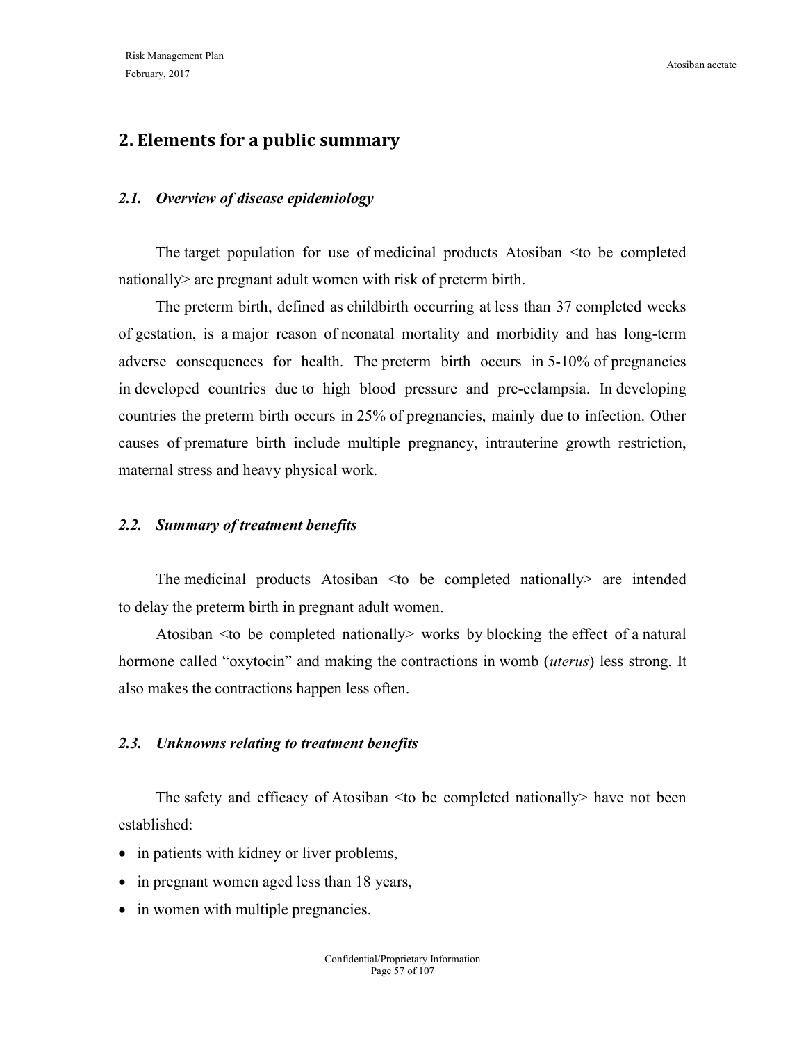## 2. Elements for a public summary

#### 2.1. Overview of disease epidemiology

The target population for use of medicinal products Atosiban <to be completed nationally> are pregnant adult women with risk of preterm birth.

The preterm birth, defined as childbirth occurring at less than 37 completed weeks of gestation, is a major reason of neonatal mortality and morbidity and has long-term adverse consequences for health. The preterm birth occurs in 5-10% of pregnancies in developed countries due to high blood pressure and pre-eclampsia. In developing countries the preterm birth occurs in 25% of pregnancies, mainly due to infection. Other causes of premature birth include multiple pregnancy, intrauterine growth restriction, maternal stress and heavy physical work.

#### 2.2. Summary of treatment benefits

The medicinal products Atosiban <to be completed nationally> are intended to delay the preterm birth in pregnant adult women.

Atosiban <to be completed nationally> works by blocking the effect of a natural hormone called "oxytocin" and making the contractions in womb (*uterus*) less strong. It also makes the contractions happen less often.

#### 2.3. Unknowns relating to treatment benefits

The safety and efficacy of Atosiban <to be completed nationally> have not been established:

- in patients with kidney or liver problems,
- in pregnant women aged less than 18 years,
- in women with multiple pregnancies.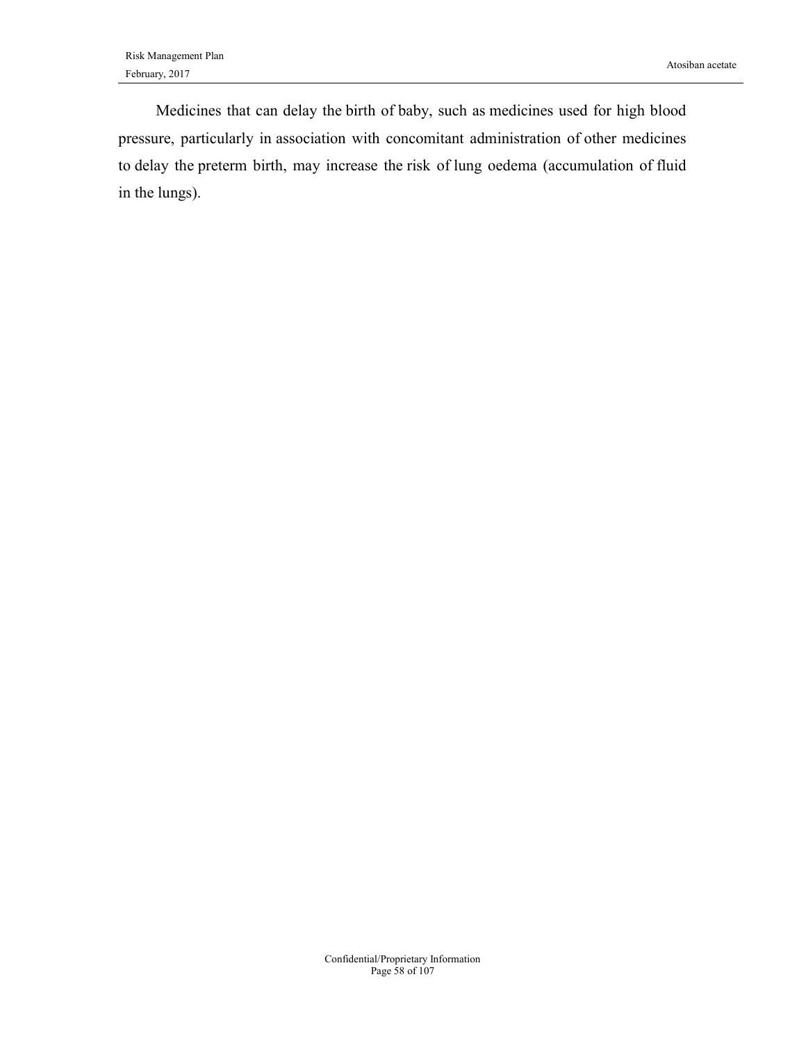Medicines that can delay the birth of baby, such as medicines used for high blood pressure, particularly in association with concomitant administration of other medicines to delay the preterm birth, may increase the risk of lung oedema (accumulation of fluid in the lungs).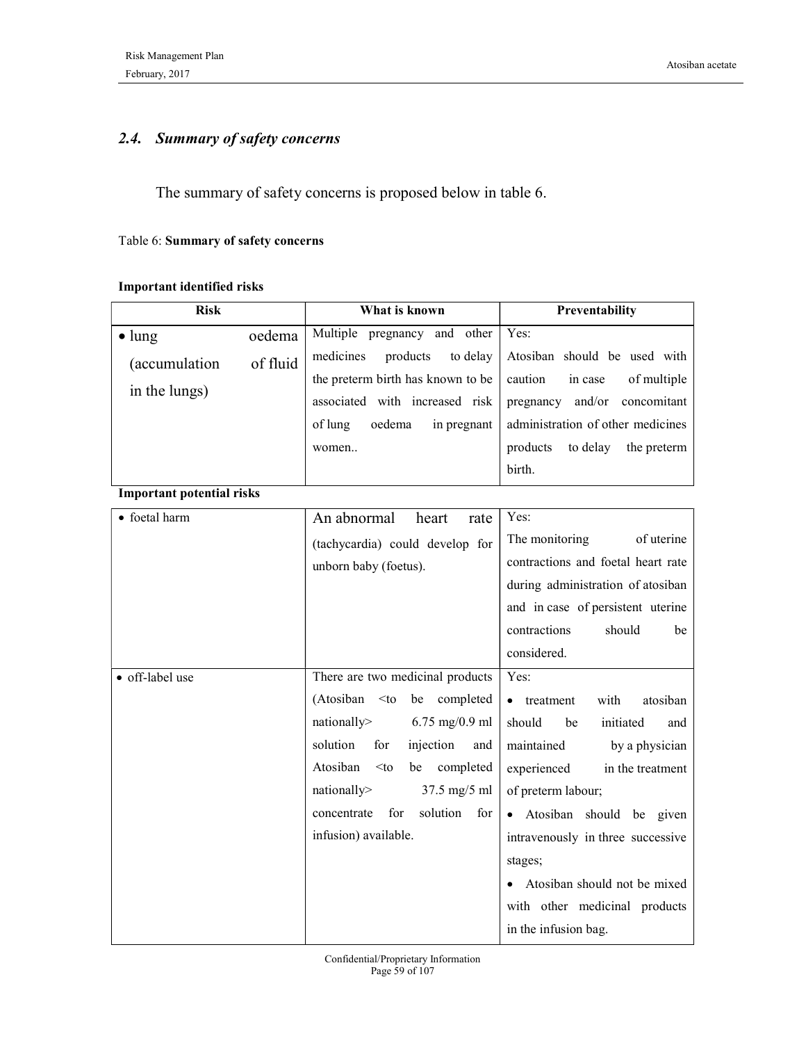### 2.4. Summary of safety concerns

The summary of safety concerns is proposed below in table 6.

#### Table 6: Summary of safety concerns

### Important identified risks

| <b>Risk</b>                      |          | What is known                         | Preventability                      |  |  |
|----------------------------------|----------|---------------------------------------|-------------------------------------|--|--|
| $\bullet$ lung                   | oedema   | Multiple pregnancy and other          | Yes:                                |  |  |
| (accumulation                    | of fluid | medicines<br>products<br>to delay     | Atosiban should be used with        |  |  |
| in the lungs)                    |          | the preterm birth has known to be     | caution<br>of multiple<br>in case   |  |  |
|                                  |          | associated with increased risk        | pregnancy and/or concomitant        |  |  |
|                                  |          | of lung<br>oedema<br>in pregnant      | administration of other medicines   |  |  |
|                                  |          | women                                 | to delay<br>products<br>the preterm |  |  |
|                                  |          |                                       | birth.                              |  |  |
| <b>Important potential risks</b> |          |                                       |                                     |  |  |
| • foetal harm                    |          | An abnormal<br>heart<br>rate          | Yes:                                |  |  |
|                                  |          | (tachycardia) could develop for       | The monitoring<br>of uterine        |  |  |
|                                  |          | unborn baby (foetus).                 | contractions and foetal heart rate  |  |  |
|                                  |          |                                       | during administration of atosiban   |  |  |
|                                  |          |                                       | and in case of persistent uterine   |  |  |
|                                  |          |                                       | contractions<br>should<br>be        |  |  |
|                                  |          |                                       | considered.                         |  |  |
| · off-label use                  |          | There are two medicinal products      | Yes:                                |  |  |
|                                  |          | (Atosiban<br>be completed<br>$<$ to   | with<br>atosiban<br>• treatment     |  |  |
|                                  |          | nationally><br>$6.75$ mg/0.9 ml       | should<br>initiated<br>be<br>and    |  |  |
|                                  |          | solution<br>for<br>injection<br>and   | maintained<br>by a physician        |  |  |
|                                  |          | Atosiban<br>completed<br>be<br>$<$ to | in the treatment<br>experienced     |  |  |
|                                  |          | 37.5 mg/5 ml<br>nationally>           | of preterm labour;                  |  |  |
|                                  |          | for<br>solution<br>concentrate<br>for | Atosiban should be given            |  |  |
|                                  |          | infusion) available.                  | intravenously in three successive   |  |  |
|                                  |          |                                       | stages;                             |  |  |
|                                  |          |                                       | • Atosiban should not be mixed      |  |  |
|                                  |          |                                       | with other medicinal products       |  |  |
|                                  |          |                                       | in the infusion bag.                |  |  |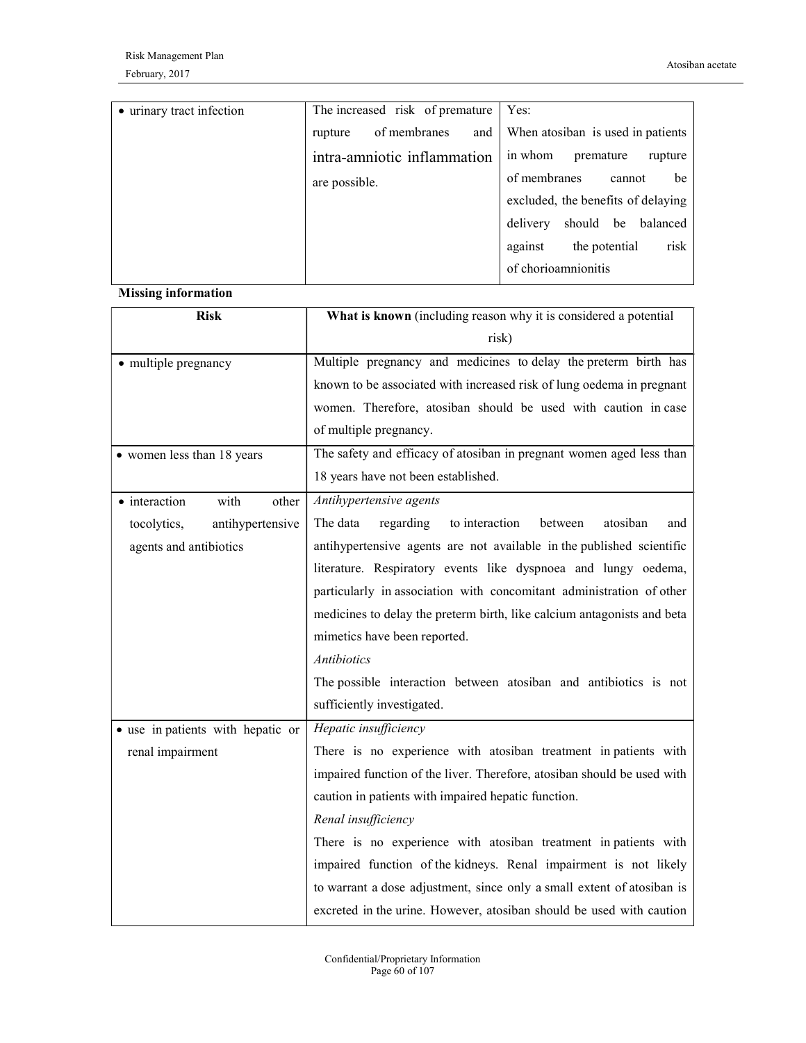| • urinary tract infection | The increased risk of premature | Yes:                                    |
|---------------------------|---------------------------------|-----------------------------------------|
|                           | of membranes<br>rupture         | and   When atosiban is used in patients |
|                           | intra-amniotic inflammation     | in whom<br>premature<br>rupture         |
|                           | are possible.                   | of membranes<br>be<br>cannot            |
|                           |                                 | excluded, the benefits of delaying      |
|                           |                                 | delivery should be balanced             |
|                           |                                 | against<br>risk<br>the potential        |
|                           |                                 | of chorioamnionitis                     |

#### Missing information

| <b>Risk</b>                       | What is known (including reason why it is considered a potential        |
|-----------------------------------|-------------------------------------------------------------------------|
|                                   | risk)                                                                   |
| · multiple pregnancy              | Multiple pregnancy and medicines to delay the preterm birth has         |
|                                   | known to be associated with increased risk of lung oedema in pregnant   |
|                                   | women. Therefore, atosiban should be used with caution in case          |
|                                   | of multiple pregnancy.                                                  |
| • women less than 18 years        | The safety and efficacy of atosiban in pregnant women aged less than    |
|                                   | 18 years have not been established.                                     |
| • interaction<br>with<br>other    | Antihypertensive agents                                                 |
| tocolytics,<br>antihypertensive   | The data<br>to interaction<br>atosiban<br>regarding<br>between<br>and   |
| agents and antibiotics            | antihypertensive agents are not available in the published scientific   |
|                                   | literature. Respiratory events like dyspnoea and lungy oedema,          |
|                                   | particularly in association with concomitant administration of other    |
|                                   | medicines to delay the preterm birth, like calcium antagonists and beta |
|                                   | mimetics have been reported.                                            |
|                                   | <b>Antibiotics</b>                                                      |
|                                   | The possible interaction between atosiban and antibiotics is not        |
|                                   | sufficiently investigated.                                              |
| • use in patients with hepatic or | Hepatic insufficiency                                                   |
| renal impairment                  | There is no experience with atosiban treatment in patients with         |
|                                   | impaired function of the liver. Therefore, atosiban should be used with |
|                                   | caution in patients with impaired hepatic function.                     |
|                                   | Renal insufficiency                                                     |
|                                   | There is no experience with atosiban treatment in patients with         |
|                                   | impaired function of the kidneys. Renal impairment is not likely        |
|                                   | to warrant a dose adjustment, since only a small extent of atosiban is  |
|                                   | excreted in the urine. However, atosiban should be used with caution    |